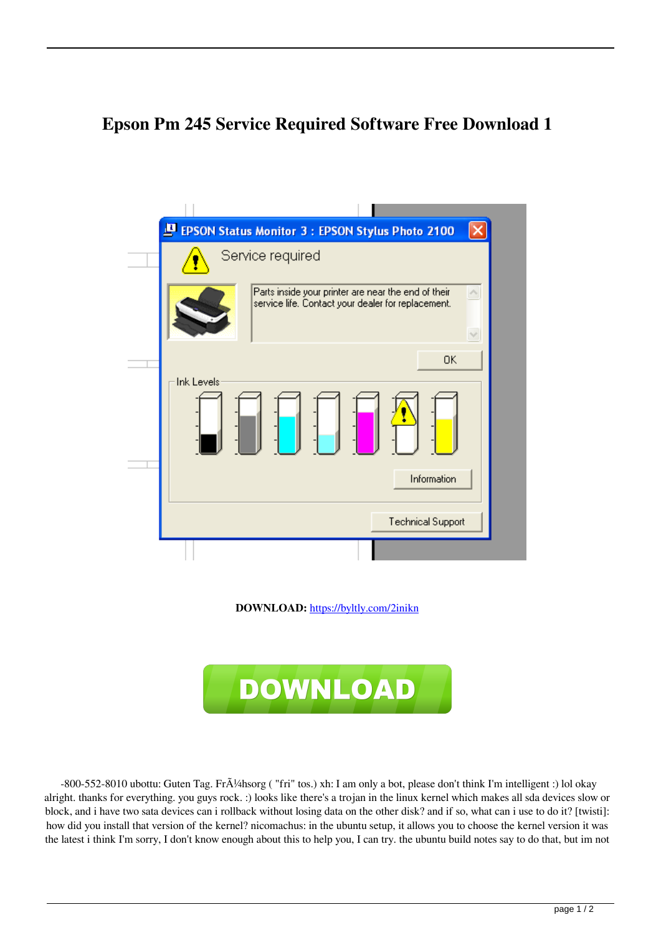## **Epson Pm 245 Service Required Software Free Download 1**



**DOWNLOAD:** <https://byltly.com/2inikn>



-800-552-8010 ubottu: Guten Tag. Fr $\tilde{A}/4$ hsorg ("fri" tos.) xh: I am only a bot, please don't think I'm intelligent :) lol okay alright. thanks for everything. you guys rock. :) looks like there's a trojan in the linux kernel which makes all sda devices slow or block, and i have two sata devices can i rollback without losing data on the other disk? and if so, what can i use to do it? [twisti]: how did you install that version of the kernel? nicomachus: in the ubuntu setup, it allows you to choose the kernel version it was the latest i think I'm sorry, I don't know enough about this to help you, I can try. the ubuntu build notes say to do that, but im not